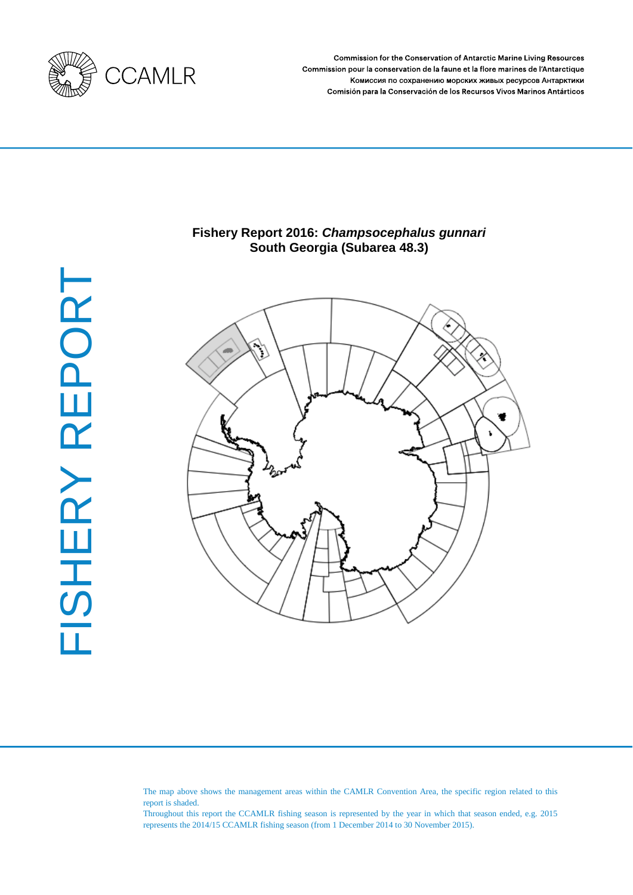

Commission for the Conservation of Antarctic Marine Living Resources Commission pour la conservation de la faune et la flore marines de l'Antarctique Комиссия по сохранению морских живых ресурсов Антарктики Comisión para la Conservación de los Recursos Vivos Marinos Antárticos

# FISHERY REPORT FISHERY REPORT

# **Fishery Report 2016:** *Champsocephalus gunnari*  **South Georgia (Subarea 48.3)**



The map above shows the management areas within the CAMLR Convention Area, the specific region related to this report is shaded.

Throughout this report the CCAMLR fishing season is represented by the year in which that season ended, e.g. 2015 represents the 2014/15 CCAMLR fishing season (from 1 December 2014 to 30 November 2015).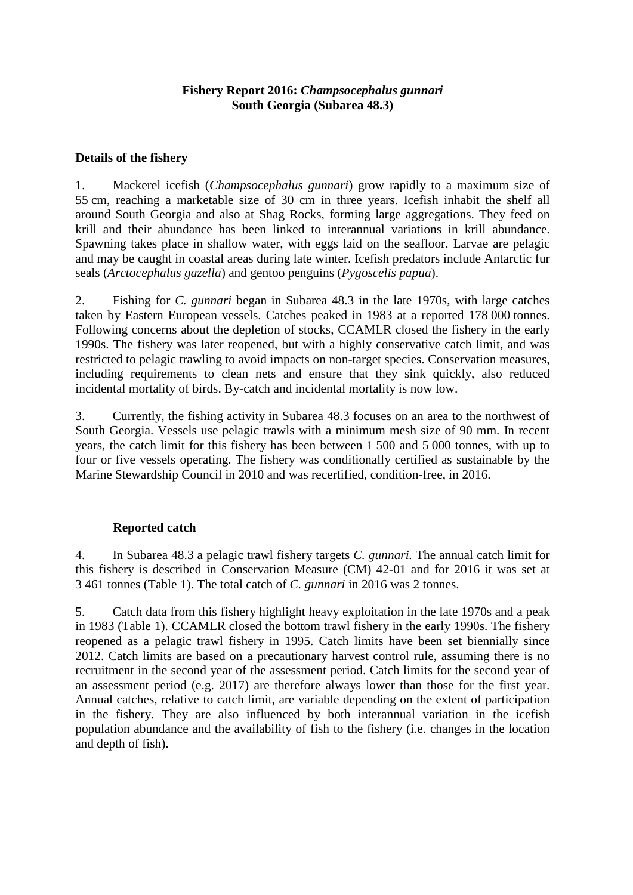# **Fishery Report 2016:** *Champsocephalus gunnari* **South Georgia (Subarea 48.3)**

# **Details of the fishery**

1. Mackerel icefish (*Champsocephalus gunnari*) grow rapidly to a maximum size of 55 cm, reaching a marketable size of 30 cm in three years. Icefish inhabit the shelf all around South Georgia and also at Shag Rocks, forming large aggregations. They feed on krill and their abundance has been linked to interannual variations in krill abundance. Spawning takes place in shallow water, with eggs laid on the seafloor. Larvae are pelagic and may be caught in coastal areas during late winter. Icefish predators include Antarctic fur seals (*Arctocephalus gazella*) and gentoo penguins (*Pygoscelis papua*).

2. Fishing for *C. gunnari* began in Subarea 48.3 in the late 1970s, with large catches taken by Eastern European vessels. Catches peaked in 1983 at a reported 178 000 tonnes. Following concerns about the depletion of stocks, CCAMLR closed the fishery in the early 1990s. The fishery was later reopened, but with a highly conservative catch limit, and was restricted to pelagic trawling to avoid impacts on non-target species. Conservation measures, including requirements to clean nets and ensure that they sink quickly, also reduced incidental mortality of birds. By-catch and incidental mortality is now low.

3. Currently, the fishing activity in Subarea 48.3 focuses on an area to the northwest of South Georgia. Vessels use pelagic trawls with a minimum mesh size of 90 mm. In recent years, the catch limit for this fishery has been between 1 500 and 5 000 tonnes, with up to four or five vessels operating. The fishery was conditionally certified as sustainable by the Marine Stewardship Council in 2010 and was recertified, condition-free, in 2016.

# **Reported catch**

4. In Subarea 48.3 a pelagic trawl fishery targets *C. gunnari.* The annual catch limit for this fishery is described in Conservation Measure (CM) 42-01 and for 2016 it was set at 3 461 tonnes (Table 1). The total catch of *C. gunnari* in 2016 was 2 tonnes.

5. Catch data from this fishery highlight heavy exploitation in the late 1970s and a peak in 1983 (Table 1). CCAMLR closed the bottom trawl fishery in the early 1990s. The fishery reopened as a pelagic trawl fishery in 1995. Catch limits have been set biennially since 2012. Catch limits are based on a precautionary harvest control rule, assuming there is no recruitment in the second year of the assessment period. Catch limits for the second year of an assessment period (e.g. 2017) are therefore always lower than those for the first year. Annual catches, relative to catch limit, are variable depending on the extent of participation in the fishery. They are also influenced by both interannual variation in the icefish population abundance and the availability of fish to the fishery (i.e. changes in the location and depth of fish).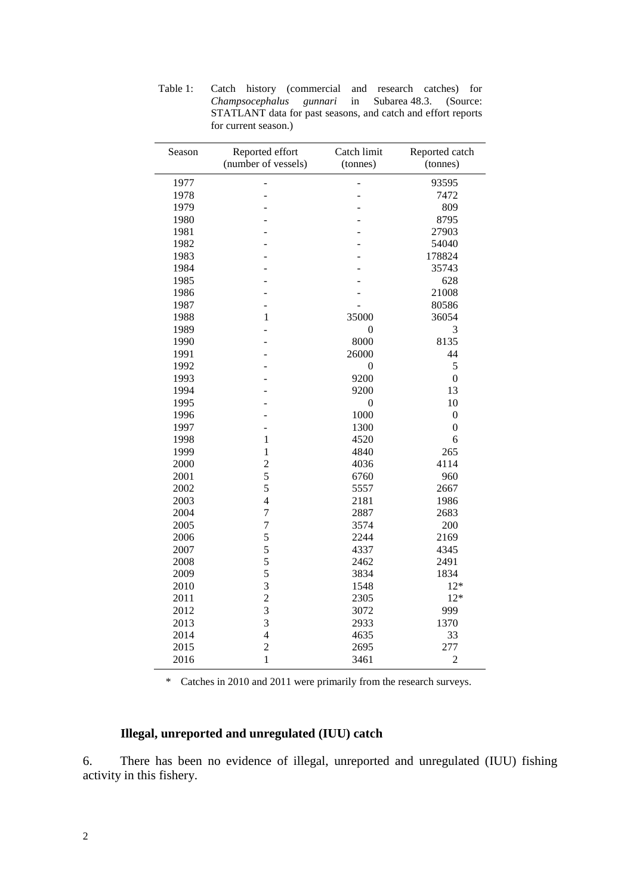| Season | Reported effort<br>Catch limit |                  | Reported catch |  |
|--------|--------------------------------|------------------|----------------|--|
|        | (number of vessels)            | (tonnes)         | (tonnes)       |  |
| 1977   | -                              | L,               | 93595          |  |
| 1978   | -                              |                  | 7472           |  |
| 1979   |                                |                  | 809            |  |
| 1980   |                                |                  | 8795           |  |
| 1981   |                                |                  | 27903          |  |
| 1982   |                                |                  | 54040          |  |
| 1983   |                                |                  | 178824         |  |
| 1984   |                                |                  | 35743          |  |
| 1985   |                                |                  | 628            |  |
| 1986   |                                |                  | 21008          |  |
| 1987   | L,                             |                  | 80586          |  |
| 1988   | 1                              | 35000            | 36054          |  |
| 1989   | $\overline{a}$                 | $\theta$         | 3              |  |
| 1990   |                                | 8000             | 8135           |  |
| 1991   |                                | 26000            | 44             |  |
| 1992   |                                | 0                | 5              |  |
| 1993   |                                | 9200             | $\overline{0}$ |  |
| 1994   |                                | 9200             | 13             |  |
| 1995   |                                | $\boldsymbol{0}$ | 10             |  |
| 1996   |                                | 1000             | $\overline{0}$ |  |
| 1997   |                                | 1300             | $\overline{0}$ |  |
| 1998   | $\mathbf{1}$                   | 4520             | 6              |  |
| 1999   | $\mathbf{1}$                   | 4840             | 265            |  |
| 2000   | $\overline{c}$                 | 4036             | 4114           |  |
| 2001   | 5                              | 6760             | 960            |  |
| 2002   | 5                              | 5557             | 2667           |  |
| 2003   | $\overline{4}$                 | 2181             | 1986           |  |
| 2004   | $\overline{7}$                 | 2887             | 2683           |  |
| 2005   | $\overline{7}$                 | 3574             | 200            |  |
| 2006   | 5                              | 2244             | 2169           |  |
| 2007   | 5                              | 4337             | 4345           |  |
| 2008   | 5                              | 2462             | 2491           |  |
| 2009   | 5                              | 3834             | 1834           |  |
| 2010   | $\overline{3}$                 | 1548             | $12*$          |  |
| 2011   | $\overline{c}$                 | 2305             | $12*$          |  |
| 2012   | $\overline{\mathbf{3}}$        | 3072             | 999            |  |
| 2013   | $\overline{3}$                 | 2933             | 1370           |  |
| 2014   | $\overline{4}$                 | 4635             | 33             |  |
| 2015   | $\overline{c}$                 | 2695             | 277            |  |
| 2016   | $\mathbf{1}$                   | 3461             | $\overline{c}$ |  |

Table 1: Catch history (commercial and research catches) for *Champsocephalus gunnari* in Subarea 48.3. (Source: STATLANT data for past seasons, and catch and effort reports for current season.)

\* Catches in 2010 and 2011 were primarily from the research surveys.

## **Illegal, unreported and unregulated (IUU) catch**

6. There has been no evidence of illegal, unreported and unregulated (IUU) fishing activity in this fishery.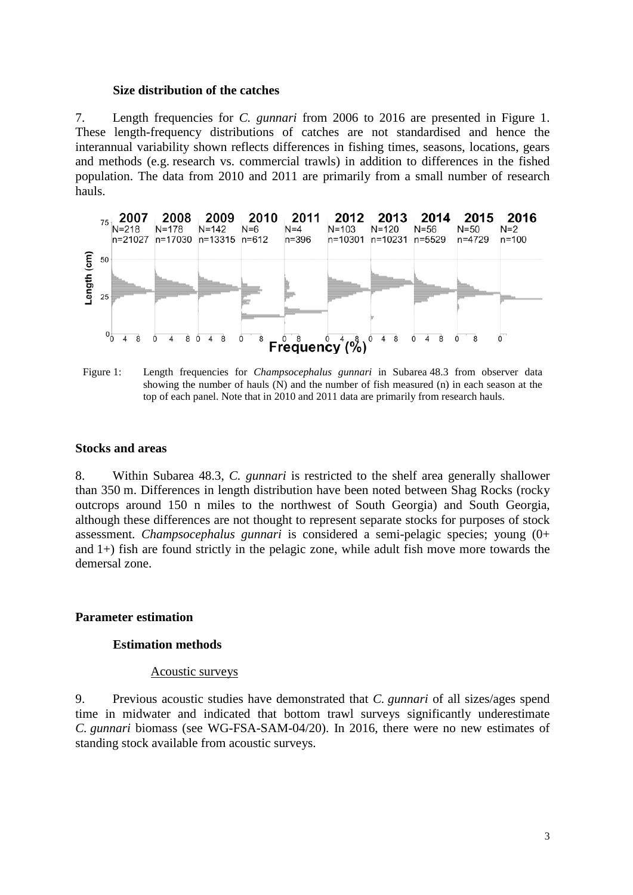#### **Size distribution of the catches**

7. Length frequencies for *C. gunnari* from 2006 to 2016 are presented in Figure 1. These length-frequency distributions of catches are not standardised and hence the interannual variability shown reflects differences in fishing times, seasons, locations, gears and methods (e.g. research vs. commercial trawls) in addition to differences in the fished population. The data from 2010 and 2011 are primarily from a small number of research hauls.



Figure 1: Length frequencies for *Champsocephalus gunnari* in Subarea 48.3 from observer data showing the number of hauls (N) and the number of fish measured (n) in each season at the top of each panel. Note that in 2010 and 2011 data are primarily from research hauls.

## **Stocks and areas**

8. Within Subarea 48.3, *C. gunnari* is restricted to the shelf area generally shallower than 350 m. Differences in length distribution have been noted between Shag Rocks (rocky outcrops around 150 n miles to the northwest of South Georgia) and South Georgia, although these differences are not thought to represent separate stocks for purposes of stock assessment. *Champsocephalus gunnari* is considered a semi-pelagic species; young (0+ and 1+) fish are found strictly in the pelagic zone, while adult fish move more towards the demersal zone.

#### **Parameter estimation**

#### **Estimation methods**

#### Acoustic surveys

9. Previous acoustic studies have demonstrated that *C. gunnari* of all sizes/ages spend time in midwater and indicated that bottom trawl surveys significantly underestimate *C. gunnari* biomass (see WG-FSA-SAM-04/20). In 2016, there were no new estimates of standing stock available from acoustic surveys.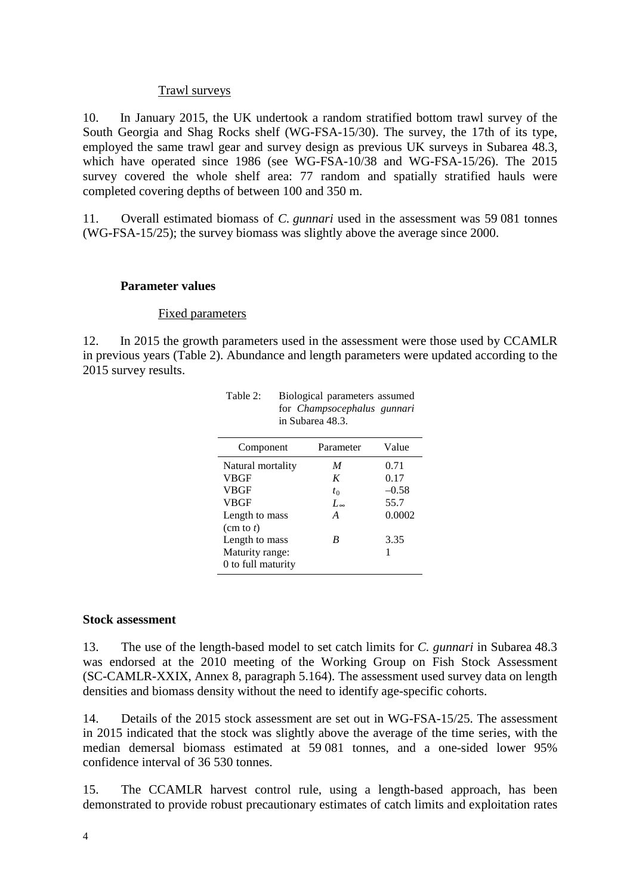## Trawl surveys

10. In January 2015, the UK undertook a random stratified bottom trawl survey of the South Georgia and Shag Rocks shelf (WG-FSA-15/30). The survey, the 17th of its type, employed the same trawl gear and survey design as previous UK surveys in Subarea 48.3, which have operated since 1986 (see WG-FSA-10/38 and WG-FSA-15/26). The 2015 survey covered the whole shelf area: 77 random and spatially stratified hauls were completed covering depths of between 100 and 350 m.

11. Overall estimated biomass of *C. gunnari* used in the assessment was 59 081 tonnes (WG-FSA-15/25); the survey biomass was slightly above the average since 2000.

#### **Parameter values**

#### Fixed parameters

12. In 2015 the growth parameters used in the assessment were those used by CCAMLR in previous years (Table 2). Abundance and length parameters were updated according to the 2015 survey results.

Table 2: Biological parameters assumed

for *Champsocephalus gunnari*

| in Subarea 48.3.    |                  |         |  |  |
|---------------------|------------------|---------|--|--|
| Component           | Parameter        | Value   |  |  |
| Natural mortality   | M                | 0.71    |  |  |
| <b>VBGF</b>         | K                | 0.17    |  |  |
| <b>VBGF</b>         | $t_0$            | $-0.58$ |  |  |
| <b>VBGF</b>         | $L_{\infty}$     | 55.7    |  |  |
| Length to mass      | $\boldsymbol{A}$ | 0.0002  |  |  |
| $(\text{cm to } t)$ |                  |         |  |  |
| Length to mass      | B                | 3.35    |  |  |
| Maturity range:     |                  |         |  |  |
| 0 to full maturity  |                  |         |  |  |

#### **Stock assessment**

13. The use of the length-based model to set catch limits for *C. gunnari* in Subarea 48.3 was endorsed at the 2010 meeting of the Working Group on Fish Stock Assessment (SC-CAMLR-XXIX, Annex 8, paragraph 5.164). The assessment used survey data on length densities and biomass density without the need to identify age-specific cohorts.

14. Details of the 2015 stock assessment are set out in WG-FSA-15/25. The assessment in 2015 indicated that the stock was slightly above the average of the time series, with the median demersal biomass estimated at 59 081 tonnes, and a one-sided lower 95% confidence interval of 36 530 tonnes.

15. The CCAMLR harvest control rule, using a length-based approach, has been demonstrated to provide robust precautionary estimates of catch limits and exploitation rates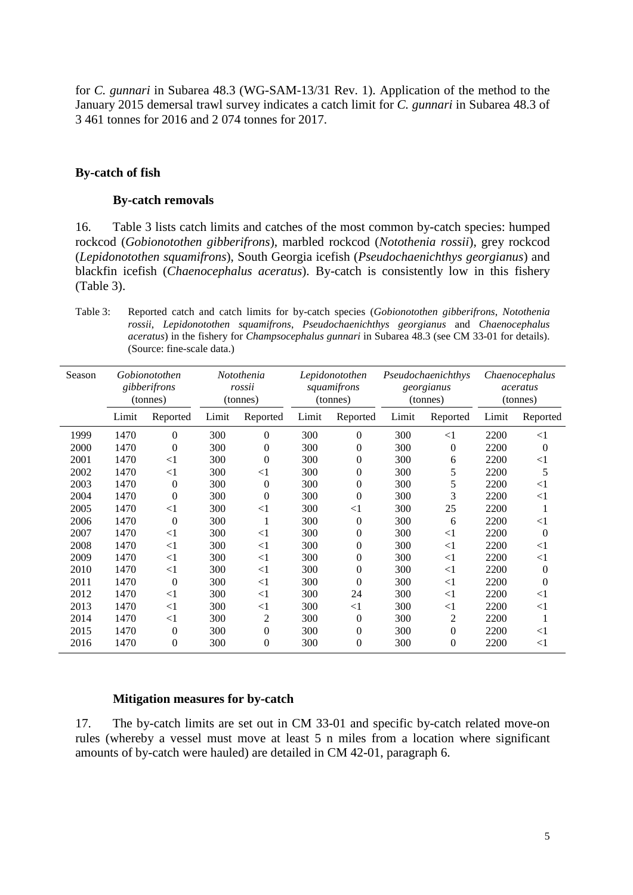for *C. gunnari* in Subarea 48.3 (WG-SAM-13/31 Rev. 1). Application of the method to the January 2015 demersal trawl survey indicates a catch limit for *C. gunnari* in Subarea 48.3 of 3 461 tonnes for 2016 and 2 074 tonnes for 2017.

## **By-catch of fish**

#### **By-catch removals**

16. Table 3 lists catch limits and catches of the most common by-catch species: humped rockcod (*Gobionotothen gibberifrons*), marbled rockcod (*Notothenia rossii*), grey rockcod (*Lepidonotothen squamifrons*), South Georgia icefish (*Pseudochaenichthys georgianus*) and blackfin icefish (*Chaenocephalus aceratus*). By-catch is consistently low in this fishery (Table 3).

Table 3: Reported catch and catch limits for by-catch species (*Gobionotothen gibberifrons*, *Notothenia rossii*, *Lepidonotothen squamifrons*, *Pseudochaenichthys georgianus* and *Chaenocephalus aceratus*) in the fishery for *Champsocephalus gunnari* in Subarea 48.3 (see CM 33-01 for details). (Source: fine-scale data.)

| Season |       | Gobionotothen<br>gibberifrons<br>(tonnes) |       | Notothenia<br>rossii<br>(tonnes) |       | Lepidonotothen<br>squamifrons<br>(tonnes) |       | Pseudochaenichthys<br>georgianus<br>(tonnes) |       | Chaenocephalus<br>aceratus<br>(tonnes) |
|--------|-------|-------------------------------------------|-------|----------------------------------|-------|-------------------------------------------|-------|----------------------------------------------|-------|----------------------------------------|
|        | Limit | Reported                                  | Limit | Reported                         | Limit | Reported                                  | Limit | Reported                                     | Limit | Reported                               |
| 1999   | 1470  | $\Omega$                                  | 300   | $\overline{0}$                   | 300   | $\overline{0}$                            | 300   | $\leq$ 1                                     | 2200  | $<$ 1                                  |
| 2000   | 1470  | 0                                         | 300   | $\overline{0}$                   | 300   | $\overline{0}$                            | 300   | 0                                            | 2200  | $\theta$                               |
| 2001   | 1470  | $<$ 1                                     | 300   | $\theta$                         | 300   | $\overline{0}$                            | 300   | 6                                            | 2200  | $<$ 1                                  |
| 2002   | 1470  | $<$ 1                                     | 300   | $\leq$ 1                         | 300   | $\overline{0}$                            | 300   | 5                                            | 2200  | 5                                      |
| 2003   | 1470  | $\overline{0}$                            | 300   | $\theta$                         | 300   | $\overline{0}$                            | 300   | 5                                            | 2200  | $<$ 1                                  |
| 2004   | 1470  | $\theta$                                  | 300   | $\theta$                         | 300   | $\boldsymbol{0}$                          | 300   | 3                                            | 2200  | $<$ 1                                  |
| 2005   | 1470  | $<$ 1                                     | 300   | $\leq$ 1                         | 300   | $<$ 1                                     | 300   | 25                                           | 2200  |                                        |
| 2006   | 1470  | $\boldsymbol{0}$                          | 300   | 1                                | 300   | $\theta$                                  | 300   | 6                                            | 2200  | $<$ 1                                  |
| 2007   | 1470  | $<$ 1                                     | 300   | $\leq$ 1                         | 300   | $\overline{0}$                            | 300   | $<$ 1                                        | 2200  | $\overline{0}$                         |
| 2008   | 1470  | $<$ 1                                     | 300   | $<$ 1                            | 300   | $\overline{0}$                            | 300   | $<$ 1                                        | 2200  | $<$ 1                                  |
| 2009   | 1470  | $\leq$ 1                                  | 300   | $\leq$ 1                         | 300   | $\overline{0}$                            | 300   | $\leq$ 1                                     | 2200  | $<$ 1                                  |
| 2010   | 1470  | $<$ 1                                     | 300   | $\leq$ 1                         | 300   | $\boldsymbol{0}$                          | 300   | $\leq$ 1                                     | 2200  | $\overline{0}$                         |
| 2011   | 1470  | $\boldsymbol{0}$                          | 300   | $\leq$ 1                         | 300   | $\overline{0}$                            | 300   | $\leq$ 1                                     | 2200  | $\theta$                               |
| 2012   | 1470  | $<$ 1                                     | 300   | $\leq$ 1                         | 300   | 24                                        | 300   | $<$ 1                                        | 2200  | $<$ 1                                  |
| 2013   | 1470  | $<$ 1                                     | 300   | $\leq$ 1                         | 300   | $<$ 1                                     | 300   | <1                                           | 2200  | $<$ 1                                  |
| 2014   | 1470  | $<$ 1                                     | 300   | 2                                | 300   | $\theta$                                  | 300   | $\overline{c}$                               | 2200  |                                        |
| 2015   | 1470  | $\theta$                                  | 300   | $\overline{0}$                   | 300   | $\overline{0}$                            | 300   | $\overline{0}$                               | 2200  | $<$ 1                                  |
| 2016   | 1470  | $\theta$                                  | 300   | $\overline{0}$                   | 300   | $\overline{0}$                            | 300   | $\overline{0}$                               | 2200  | $<$ 1                                  |

#### **Mitigation measures for by-catch**

17. The by-catch limits are set out in CM 33-01 and specific by-catch related move-on rules (whereby a vessel must move at least 5 n miles from a location where significant amounts of by-catch were hauled) are detailed in CM 42-01, paragraph 6.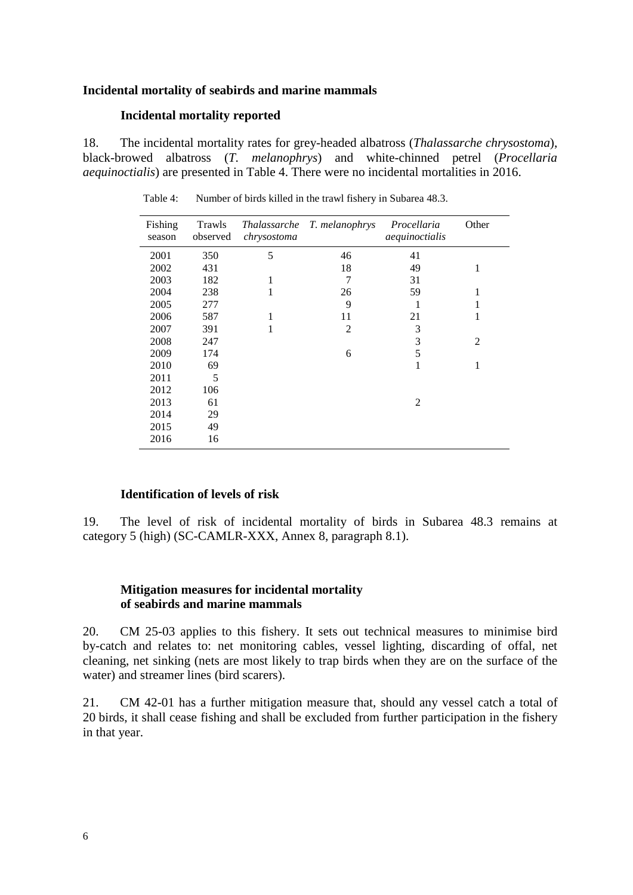## **Incidental mortality of seabirds and marine mammals**

#### **Incidental mortality reported**

18. The incidental mortality rates for grey-headed albatross (*Thalassarche chrysostoma*), black-browed albatross (*T. melanophrys*) and white-chinned petrel (*Procellaria aequinoctialis*) are presented in Table 4. There were no incidental mortalities in 2016.

| Fishing<br>season | Trawls<br>observed | chrysostoma | Thalassarche T. melanophrys | Procellaria<br>aequinoctialis | Other          |
|-------------------|--------------------|-------------|-----------------------------|-------------------------------|----------------|
| 2001              | 350                | 5           | 46                          | 41                            |                |
| 2002              | 431                |             | 18                          | 49                            | 1              |
| 2003              | 182                | 1           | 7                           | 31                            |                |
| 2004              | 238                | 1           | 26                          | 59                            | 1              |
| 2005              | 277                |             | 9                           | 1                             | 1              |
| 2006              | 587                | 1           | 11                          | 21                            | 1              |
| 2007              | 391                | 1           | $\overline{2}$              | 3                             |                |
| 2008              | 247                |             |                             | 3                             | $\overline{c}$ |
| 2009              | 174                |             | 6                           | 5                             |                |
| 2010              | 69                 |             |                             | 1                             | 1              |
| 2011              | 5                  |             |                             |                               |                |
| 2012              | 106                |             |                             |                               |                |
| 2013              | 61                 |             |                             | 2                             |                |
| 2014              | 29                 |             |                             |                               |                |
| 2015              | 49                 |             |                             |                               |                |
| 2016              | 16                 |             |                             |                               |                |

Table 4: Number of birds killed in the trawl fishery in Subarea 48.3.

## **Identification of levels of risk**

19. The level of risk of incidental mortality of birds in Subarea 48.3 remains at category 5 (high) (SC-CAMLR-XXX, Annex 8, paragraph 8.1).

# **Mitigation measures for incidental mortality of seabirds and marine mammals**

20. CM 25-03 applies to this fishery. It sets out technical measures to minimise bird by-catch and relates to: net monitoring cables, vessel lighting, discarding of offal, net cleaning, net sinking (nets are most likely to trap birds when they are on the surface of the water) and streamer lines (bird scarers).

21. CM 42-01 has a further mitigation measure that, should any vessel catch a total of 20 birds, it shall cease fishing and shall be excluded from further participation in the fishery in that year.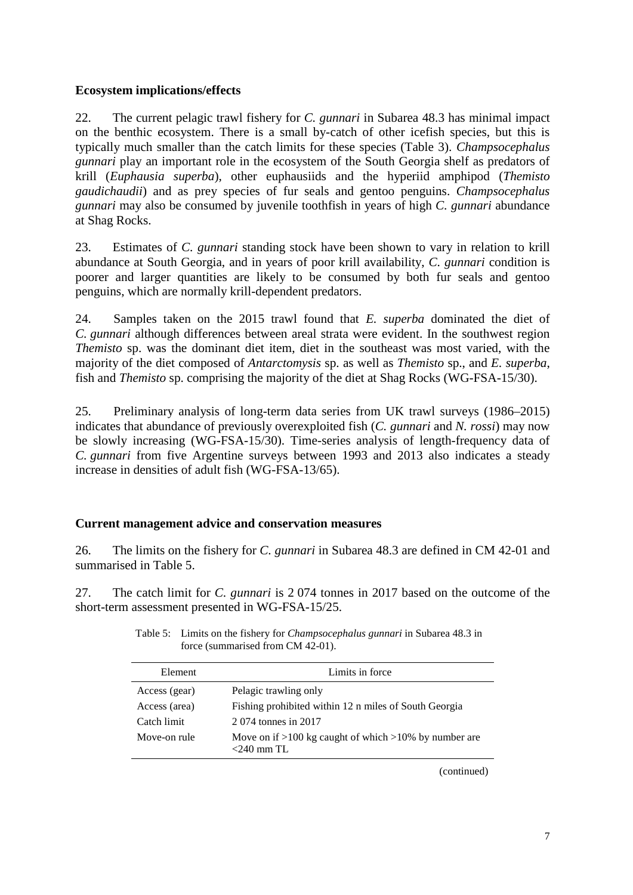# **Ecosystem implications/effects**

22. The current pelagic trawl fishery for *C. gunnari* in Subarea 48.3 has minimal impact on the benthic ecosystem. There is a small by-catch of other icefish species, but this is typically much smaller than the catch limits for these species (Table 3). *Champsocephalus gunnari* play an important role in the ecosystem of the South Georgia shelf as predators of krill (*Euphausia superba*), other euphausiids and the hyperiid amphipod (*Themisto gaudichaudii*) and as prey species of fur seals and gentoo penguins. *Champsocephalus gunnari* may also be consumed by juvenile toothfish in years of high *C. gunnari* abundance at Shag Rocks.

23. Estimates of *C. gunnari* standing stock have been shown to vary in relation to krill abundance at South Georgia, and in years of poor krill availability, *C. gunnari* condition is poorer and larger quantities are likely to be consumed by both fur seals and gentoo penguins, which are normally krill-dependent predators.

24. Samples taken on the 2015 trawl found that *E. superba* dominated the diet of *C. gunnari* although differences between areal strata were evident. In the southwest region *Themisto* sp. was the dominant diet item, diet in the southeast was most varied, with the majority of the diet composed of *Antarctomysis* sp. as well as *Themisto* sp., and *E. superba*, fish and *Themisto* sp. comprising the majority of the diet at Shag Rocks (WG-FSA-15/30).

25. Preliminary analysis of long-term data series from UK trawl surveys (1986–2015) indicates that abundance of previously overexploited fish (*C. gunnari* and *N. rossi*) may now be slowly increasing (WG-FSA-15/30). Time-series analysis of length-frequency data of *C. gunnari* from five Argentine surveys between 1993 and 2013 also indicates a steady increase in densities of adult fish (WG-FSA-13/65).

# **Current management advice and conservation measures**

26. The limits on the fishery for *C. gunnari* in Subarea 48.3 are defined in CM 42-01 and summarised in Table 5.

27. The catch limit for *C. gunnari* is 2 074 tonnes in 2017 based on the outcome of the short-term assessment presented in WG-FSA-15/25.

| Element       | Limits in force                                                             |
|---------------|-----------------------------------------------------------------------------|
| Access (gear) | Pelagic trawling only                                                       |
| Access (area) | Fishing prohibited within 12 n miles of South Georgia                       |
| Catch limit   | 2074 tonnes in 2017                                                         |
| Move-on rule  | Move on if $>100$ kg caught of which $>10\%$ by number are<br>$<$ 240 mm TL |

Table 5: Limits on the fishery for *Champsocephalus gunnari* in Subarea 48.3 in force (summarised from CM 42-01).

(continued)